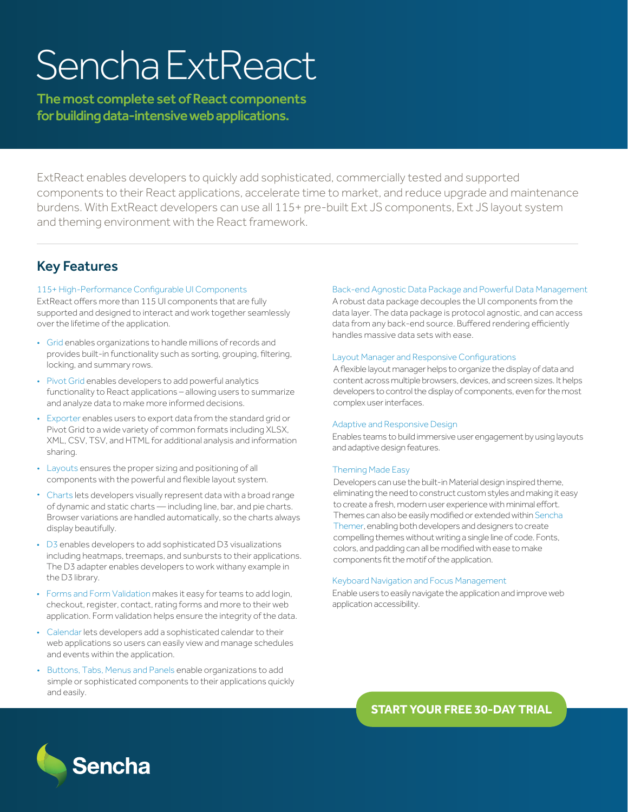# Sencha ExtReact

The most complete set of React components for building data-intensive web applications.

ExtReact enables developers to quickly add sophisticated, commercially tested and supported components to their React applications, accelerate time to market, and reduce upgrade and maintenance burdens. With ExtReact developers can use all 115+ pre-built Ext JS components, Ext JS layout system and theming environment with the React framework.

# Key Features

## 115+ High-Performance Configurable UI Components

ExtReact offers more than 115 UI components that are fully supported and designed to interact and work together seamlessly over the lifetime of the application.

- Grid enables organizations to handle millions of records and provides built-in functionality such as sorting, grouping, filtering, locking, and summary rows.
- Pivot Grid enables developers to add powerful analytics functionality to React applications – allowing users to summarize and analyze data to make more informed decisions.
- Exporter enables users to export data from the standard grid or Pivot Grid to a wide variety of common formats including XLSX, XML, CSV, TSV, and HTML for additional analysis and information sharing.
- Layouts ensures the proper sizing and positioning of all components with the powerful and flexible layout system.
- Charts lets developers visually represent data with a broad range of dynamic and static charts — including line, bar, and pie charts. Browser variations are handled automatically, so the charts always display beautifully.
- D3 enables developers to add sophisticated D3 visualizations including heatmaps, treemaps, and sunbursts to their applications. The D3 adapter enables developers to work withany example in the D3 library.
- Forms and Form Validation makes it easy for teams to add login, checkout, register, contact, rating forms and more to their web application. Form validation helps ensure the integrity of the data.
- Calendar lets developers add a sophisticated calendar to their web applications so users can easily view and manage schedules and events within the application.
- Buttons, Tabs, Menus and Panels enable organizations to add simple or sophisticated components to their applications quickly and easily.

## Back-end Agnostic Data Package and Powerful Data Management

A robust data package decouples the UI components from the data layer. The data package is protocol agnostic, and can access data from any back-end source. Buffered rendering efficiently handles massive data sets with ease.

## Layout Manager and Responsive Configurations

A flexible layout manager helps to organize the display of data and content across multiple browsers, devices, and screen sizes. It helps developers to control the display of components, even for the most complex user interfaces.

## Adaptive and Responsive Design

Enables teams to build immersive user engagement by using layouts and adaptive design features.

## Theming Made Easy

Developers can use the built-in Material design inspired theme, eliminating the need to construct custom styles and making it easy to create a fresh, modern user experience with minimal effort. Themes can also be easily modified or extended within Sencha Themer, enabling both developers and designers to create compelling themes without writing a single line of code. Fonts, colors, and padding can all be modified with ease to make components fit the motif of the application.

## Keyboard Navigation and Focus Management

Enable users to easily navigate the application and improve web application accessibility.

**[START YOUR FREE 30-DAY TRIAL](https://www.sencha.com/products/extreact/evaluate/?utm_source=datasheet&utm_medium=inasset&utm_campaign=sncextreact&utm_content=sncextreact-datasheet)**